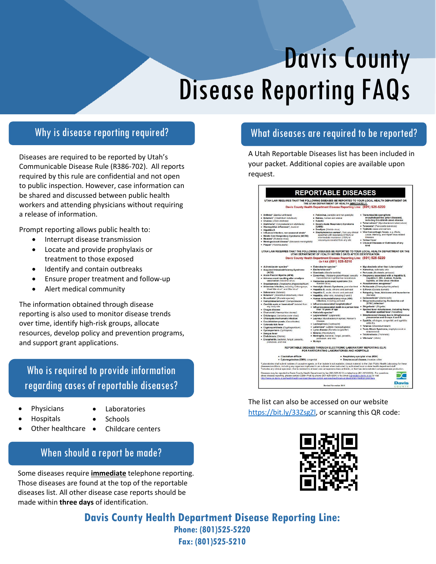# Disease Reporting FAQs Davis County

## Why is disease reporting required?

Diseases are required to be reported by Utah's Communicable Disease Rule (R386-702). All reports required by this rule are confidential and not open to public inspection. However, case information can be shared and discussed between public health workers and attending physicians without requiring a release of information.

Prompt reporting allows public health to:

- Interrupt disease transmission
- Locate and provide prophylaxis or treatment to those exposed
- Identify and contain outbreaks
- Ensure proper treatment and follow-up
- Alert medical community

The information obtained through disease reporting is also used to monitor disease trends over time, identify high-risk groups, allocate resources, develop policy and prevention programs, and support grant applications.

Who is required to provide information regarding cases of reportable diseases?

- Physicians
- Laboratories Schools
- Hospitals Other healthcare •
	-
	- Childcare centers providers in the second second second second second second second second second second second second second second second second second second second second second second second second second second second second second se

# When should a report be made?

Some diseases require **immediate** telephone reporting. Those diseases are found at the top of the reportable diseases list. All other disease case reports should be made within **three days** of identification.

# What diseases are required to be reported?

A Utah Reportable Diseases list has been included in your packet. Additional copies are available upon request.



The list can also be accessed on our website [https://bit.ly/33ZsgZl,](https://bit.ly/33ZsgZl) or scanning this QR code:



**Davis County Health Department Disease Reporting Line: Phone: (801)525-5220 Fax: (801)525-5210**